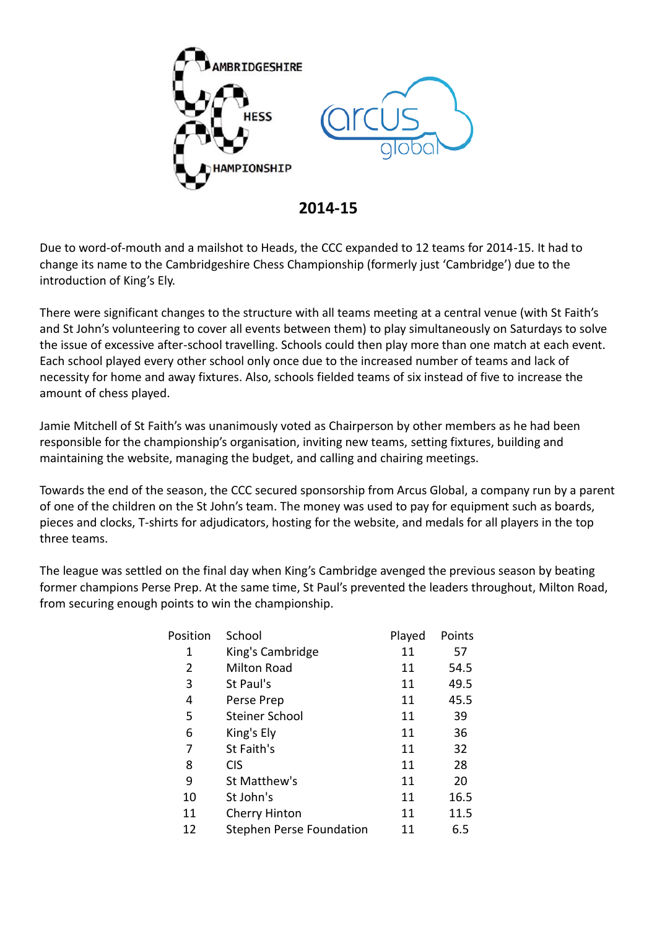

**2014-15**

Due to word-of-mouth and a mailshot to Heads, the CCC expanded to 12 teams for 2014-15. It had to change its name to the Cambridgeshire Chess Championship (formerly just 'Cambridge') due to the introduction of King's Ely.

There were significant changes to the structure with all teams meeting at a central venue (with St Faith's and St John's volunteering to cover all events between them) to play simultaneously on Saturdays to solve the issue of excessive after-school travelling. Schools could then play more than one match at each event. Each school played every other school only once due to the increased number of teams and lack of necessity for home and away fixtures. Also, schools fielded teams of six instead of five to increase the amount of chess played.

Jamie Mitchell of St Faith's was unanimously voted as Chairperson by other members as he had been responsible for the championship's organisation, inviting new teams, setting fixtures, building and maintaining the website, managing the budget, and calling and chairing meetings.

Towards the end of the season, the CCC secured sponsorship from Arcus Global, a company run by a parent of one of the children on the St John's team. The money was used to pay for equipment such as boards, pieces and clocks, T-shirts for adjudicators, hosting for the website, and medals for all players in the top three teams.

The league was settled on the final day when King's Cambridge avenged the previous season by beating former champions Perse Prep. At the same time, St Paul's prevented the leaders throughout, Milton Road, from securing enough points to win the championship.

| School                   | Played | Points |
|--------------------------|--------|--------|
| King's Cambridge         | 11     | 57     |
| Milton Road              | 11     | 54.5   |
| St Paul's                | 11     | 49.5   |
| Perse Prep               | 11     | 45.5   |
| Steiner School           | 11     | 39     |
| King's Ely               | 11     | 36     |
| St Faith's               | 11     | 32     |
| <b>CIS</b>               | 11     | 28     |
| St Matthew's             | 11     | 20     |
| St John's                | 11     | 16.5   |
| <b>Cherry Hinton</b>     | 11     | 11.5   |
| Stephen Perse Foundation | 11     | 6.5    |
|                          |        |        |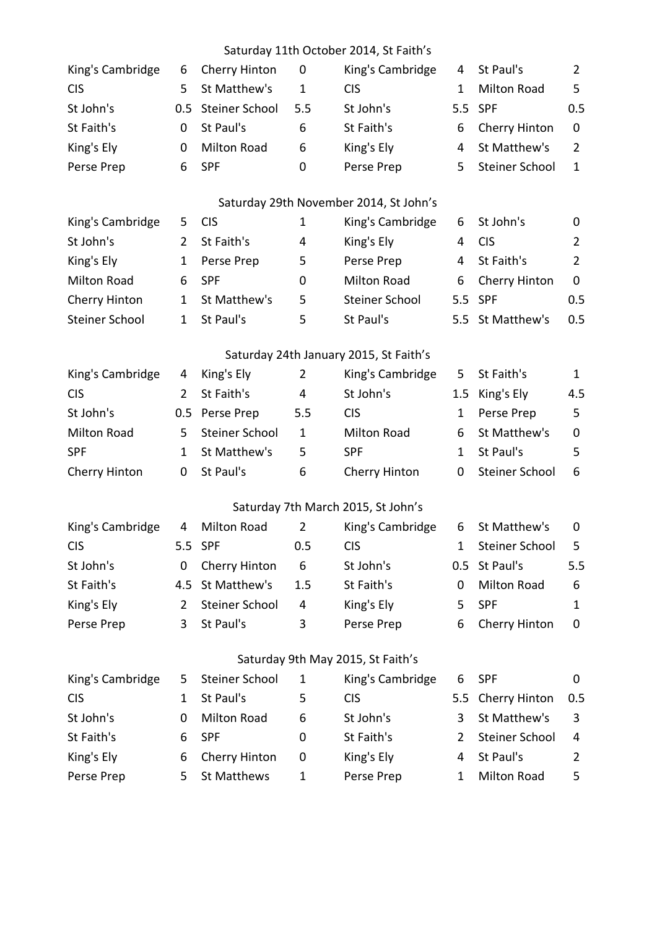## Saturday 11th October 2014, St Faith's

| King's Cambridge      | 6              | Cherry Hinton      | 0              | King's Cambridge                       | 4            | St Paul's             | $\overline{2}$ |
|-----------------------|----------------|--------------------|----------------|----------------------------------------|--------------|-----------------------|----------------|
| <b>CIS</b>            | 5              | St Matthew's       | $\mathbf{1}$   | <b>CIS</b>                             | $\mathbf{1}$ | <b>Milton Road</b>    | 5              |
| St John's             | 0.5            | Steiner School     | 5.5            | St John's                              | 5.5          | <b>SPF</b>            | 0.5            |
| St Faith's            | $\mathbf 0$    | St Paul's          | 6              | St Faith's                             | 6            | Cherry Hinton         | $\mathbf 0$    |
| King's Ely            | 0              | <b>Milton Road</b> | 6              | King's Ely                             | 4            | St Matthew's          | $\overline{2}$ |
| Perse Prep            | 6              | <b>SPF</b>         | $\mathbf 0$    | Perse Prep                             | 5            | <b>Steiner School</b> | $\mathbf{1}$   |
|                       |                |                    |                | Saturday 29th November 2014, St John's |              |                       |                |
| King's Cambridge      | 5              | <b>CIS</b>         | $\mathbf{1}$   | King's Cambridge                       | 6            | St John's             | 0              |
| St John's             | $\overline{2}$ | St Faith's         | 4              | King's Ely                             | 4            | <b>CIS</b>            | $\overline{2}$ |
| King's Ely            | $\mathbf{1}$   | Perse Prep         | 5              | Perse Prep                             | 4            | St Faith's            | $\overline{2}$ |
| <b>Milton Road</b>    | 6              | <b>SPF</b>         | 0              | <b>Milton Road</b>                     | 6            | Cherry Hinton         | $\mathbf 0$    |
| Cherry Hinton         | $\mathbf{1}$   | St Matthew's       | 5              | <b>Steiner School</b>                  | 5.5          | <b>SPF</b>            | 0.5            |
| <b>Steiner School</b> | $\mathbf{1}$   | St Paul's          | 5              | St Paul's                              |              | 5.5 St Matthew's      | 0.5            |
|                       |                |                    |                | Saturday 24th January 2015, St Faith's |              |                       |                |
| King's Cambridge      | 4              | King's Ely         | $\overline{2}$ | King's Cambridge                       | 5            | St Faith's            | $\mathbf{1}$   |
| <b>CIS</b>            | $\overline{2}$ | St Faith's         | 4              | St John's                              | 1.5          | King's Ely            | 4.5            |
| St John's             | 0.5            | Perse Prep         | 5.5            | <b>CIS</b>                             | $\mathbf{1}$ | Perse Prep            | 5              |
| <b>Milton Road</b>    | 5              | Steiner School     | $\mathbf{1}$   | <b>Milton Road</b>                     | 6            | St Matthew's          | 0              |
| <b>SPF</b>            | $\mathbf{1}$   | St Matthew's       | 5              | <b>SPF</b>                             | $\mathbf{1}$ | St Paul's             | 5              |
| Cherry Hinton         | 0              | St Paul's          | 6              | Cherry Hinton                          | 0            | Steiner School        | 6              |
|                       |                |                    |                | Saturday 7th March 2015, St John's     |              |                       |                |
| King's Cambridge      | 4              | Milton Road        | $\overline{2}$ | King's Cambridge                       | 6            | St Matthew's          | 0              |
| <b>CIS</b>            |                | 5.5 SPF            | 0.5            | <b>CIS</b>                             | $\mathbf{1}$ | <b>Steiner School</b> | 5              |
| St John's             | 0              | Cherry Hinton      | 6              | St John's                              |              | 0.5 St Paul's         | 5.5            |
| St Faith's            | 4.5            | St Matthew's       | 1.5            | St Faith's                             | 0            | <b>Milton Road</b>    | 6              |
| King's Ely            | $\overline{2}$ | Steiner School     | 4              | King's Ely                             | 5            | <b>SPF</b>            | $\mathbf{1}$   |
| Perse Prep            | 3              | St Paul's          | 3              | Perse Prep                             | 6            | Cherry Hinton         | 0              |
|                       |                |                    |                | Saturday 9th May 2015, St Faith's      |              |                       |                |
| King's Cambridge      | 5              | Steiner School     | 1              | King's Cambridge                       | 6            | <b>SPF</b>            | $\mathbf 0$    |
| <b>CIS</b>            | $\mathbf{1}$   | St Paul's          | 5              | <b>CIS</b>                             | 5.5          | Cherry Hinton         | 0.5            |
| St John's             | 0              | <b>Milton Road</b> | 6              | St John's                              | 3            | St Matthew's          | 3              |
| St Faith's            | 6              | <b>SPF</b>         | 0              | St Faith's                             | 2            | Steiner School        | 4              |
| King's Ely            | 6              | Cherry Hinton      | 0              | King's Ely                             | 4            | St Paul's             | $\overline{2}$ |
| Perse Prep            | 5              | <b>St Matthews</b> | $\mathbf{1}$   | Perse Prep                             | 1            | <b>Milton Road</b>    | 5              |